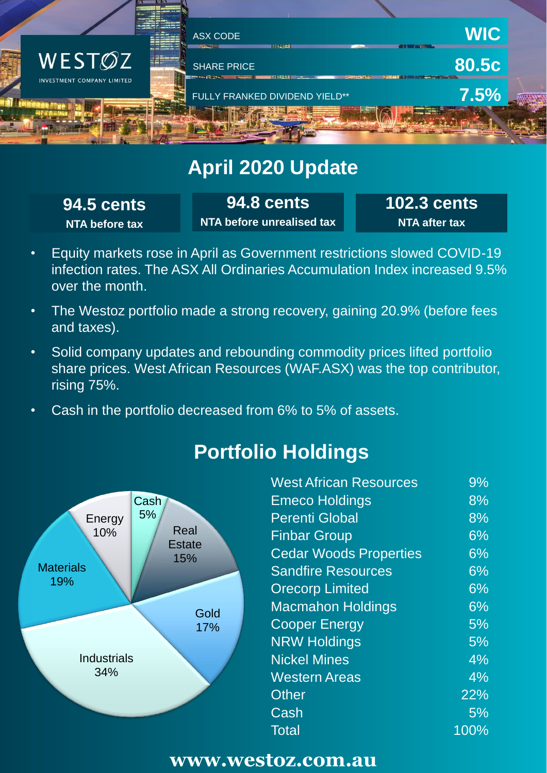

## **April 2020 Update**

**94.5 cents NTA before tax**

**94.8 cents NTA before unrealised tax** **102.3 cents NTA after tax**

- Equity markets rose in April as Government restrictions slowed COVID-19 infection rates. The ASX All Ordinaries Accumulation Index increased 9.5% over the month.
- The Westoz portfolio made a strong recovery, gaining 20.9% (before fees and taxes).
- Solid company updates and rebounding commodity prices lifted portfolio share prices. West African Resources (WAF.ASX) was the top contributor, rising 75%.
- Cash in the portfolio decreased from 6% to 5% of assets.



# **Portfolio Holdings**

| $9\%$ |
|-------|
| 8%    |
| 8%    |
| 6%    |
| 6%    |
| 6%    |
| 6%    |
| 6%    |
| 5%    |
| 5%    |
| $4\%$ |
| $4\%$ |
| 22%   |
| $5\%$ |
| 100%  |
|       |

#### **www.westoz.com.au**